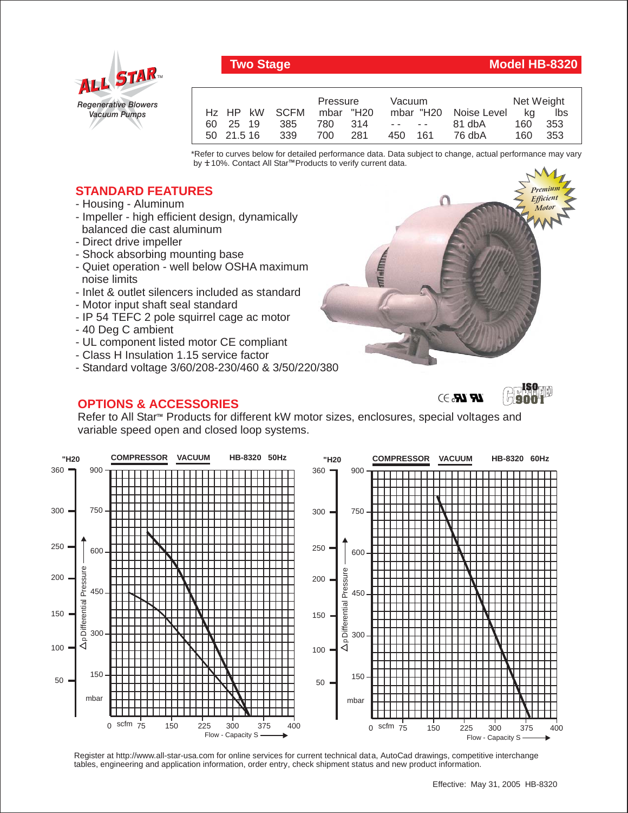

## **Two Stage Model HB-8320**

|                         |      | Pressure |  | Vacuum  |                               |                       | Net Weight |       |
|-------------------------|------|----------|--|---------|-------------------------------|-----------------------|------------|-------|
| Hz HP kW SCFM mbar "H20 |      |          |  |         |                               | mbar "H20 Noise Level | ka         | lbs   |
| 60 25 19                | -385 | 780 314  |  |         | the company of the company of | 81 dbA                | 160        | -353  |
| 50 21.5 16              | 339  | 700 281  |  | 450 161 |                               | 76 dbA                | 160        | - 353 |

\*Refer to curves below for detailed performance data. Data subject to change, actual performance may vary by **+** 10%. Contact All Star™Products to verify current data.

## **STANDARD FEATURES**

- Housing Aluminum
- Impeller high efficient design, dynamically balanced die cast aluminum
- Direct drive impeller
- Shock absorbing mounting base
- Quiet operation well below OSHA maximum noise limits
- Inlet & outlet silencers included as standard
- Motor input shaft seal standard
- IP 54 TEFC 2 pole squirrel cage ac motor
- 40 Deg C ambient
- UL component listed motor CE compliant
- Class H Insulation 1.15 service factor
- Standard voltage 3/60/208-230/460 & 3/50/220/380

## **OPTIONS & ACCESSORIES**



 $\mathbb{R}$   $\mathbb{R}$   $\rightarrow$ 



Refer to All Star<sup>™</sup> Products for different kW motor sizes, enclosures, special voltages and variable speed open and closed loop systems.



Register at http://www.all-star-usa.com for online services for current technical data, AutoCad drawings, competitive interchange tables, engineering and application information, order entry, check shipment status and new product information.